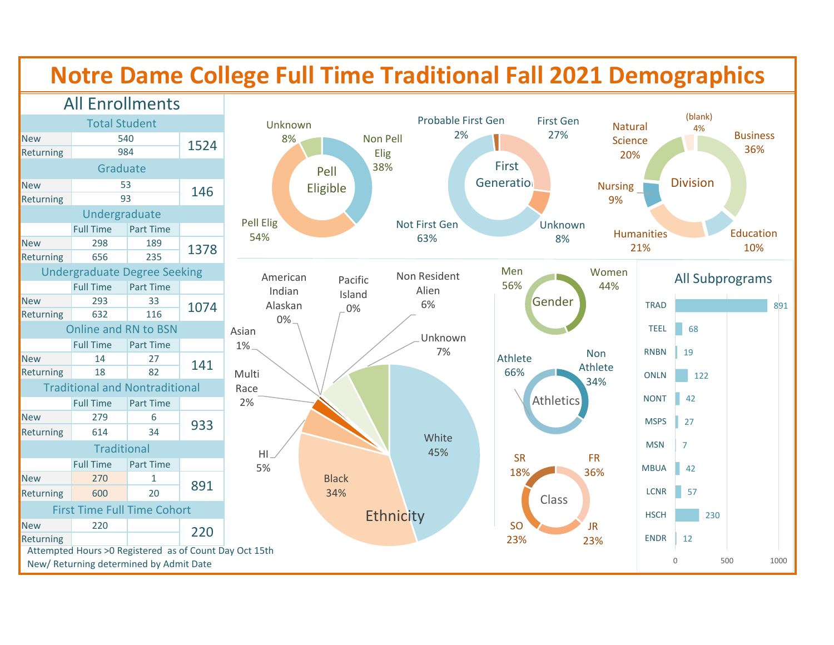